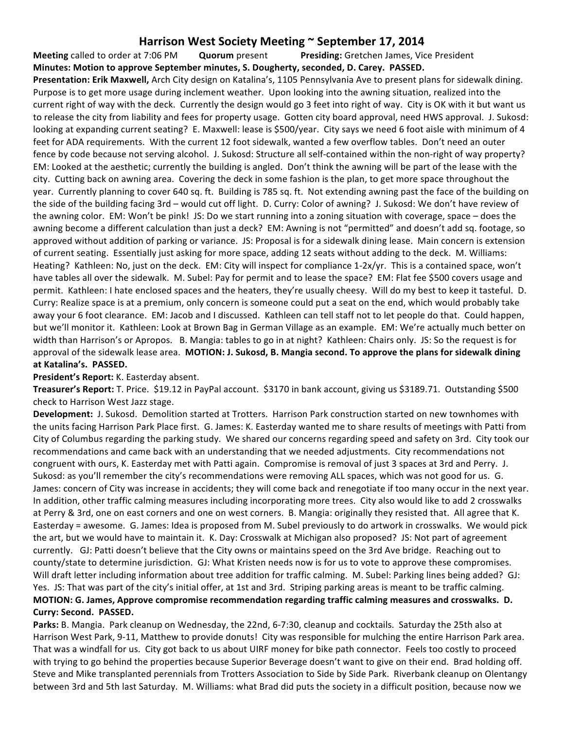## **Harrison West Society Meeting**  $\sim$  **September 17, 2014**

**Meeting** called to order at 7:06 PM **Quorum** present **Presiding:** Gretchen James, Vice President **Minutes: Motion to approve September minutes, S. Dougherty, seconded, D. Carey. PASSED. Presentation: Erik Maxwell,** Arch City design on Katalina's, 1105 Pennsylvania Ave to present plans for sidewalk dining. Purpose is to get more usage during inclement weather. Upon looking into the awning situation, realized into the current right of way with the deck. Currently the design would go 3 feet into right of way. City is OK with it but want us to release the city from liability and fees for property usage. Gotten city board approval, need HWS approval. J. Sukosd: looking at expanding current seating? E. Maxwell: lease is \$500/year. City says we need 6 foot aisle with minimum of 4 feet for ADA requirements. With the current 12 foot sidewalk, wanted a few overflow tables. Don't need an outer fence by code because not serving alcohol. J. Sukosd: Structure all self-contained within the non-right of way property? EM: Looked at the aesthetic; currently the building is angled. Don't think the awning will be part of the lease with the city. Cutting back on awning area. Covering the deck in some fashion is the plan, to get more space throughout the year. Currently planning to cover 640 sq. ft. Building is 785 sq. ft. Not extending awning past the face of the building on the side of the building facing 3rd – would cut off light. D. Curry: Color of awning? J. Sukosd: We don't have review of the awning color. EM: Won't be pink! JS: Do we start running into a zoning situation with coverage, space – does the awning become a different calculation than just a deck? EM: Awning is not "permitted" and doesn't add sq. footage, so approved without addition of parking or variance. JS: Proposal is for a sidewalk dining lease. Main concern is extension of current seating. Essentially just asking for more space, adding 12 seats without adding to the deck. M. Williams: Heating? Kathleen: No, just on the deck. EM: City will inspect for compliance 1-2x/yr. This is a contained space, won't have tables all over the sidewalk. M. Subel: Pay for permit and to lease the space? EM: Flat fee \$500 covers usage and permit. Kathleen: I hate enclosed spaces and the heaters, they're usually cheesy. Will do my best to keep it tasteful. D. Curry: Realize space is at a premium, only concern is someone could put a seat on the end, which would probably take away your 6 foot clearance. EM: Jacob and I discussed. Kathleen can tell staff not to let people do that. Could happen, but we'll monitor it. Kathleen: Look at Brown Bag in German Village as an example. EM: We're actually much better on width than Harrison's or Apropos. B. Mangia: tables to go in at night? Kathleen: Chairs only. JS: So the request is for approval of the sidewalk lease area. **MOTION: J. Sukosd, B. Mangia second. To approve the plans for sidewalk dining** at Katalina's. PASSED.

## **President's Report:** K. Easterday absent.

Treasurer's Report: T. Price. \$19.12 in PayPal account. \$3170 in bank account, giving us \$3189.71. Outstanding \$500 check to Harrison West Jazz stage.

**Development:** J. Sukosd. Demolition started at Trotters. Harrison Park construction started on new townhomes with the units facing Harrison Park Place first. G. James: K. Easterday wanted me to share results of meetings with Patti from City of Columbus regarding the parking study. We shared our concerns regarding speed and safety on 3rd. City took our recommendations and came back with an understanding that we needed adjustments. City recommendations not congruent with ours, K. Easterday met with Patti again. Compromise is removal of just 3 spaces at 3rd and Perry. J. Sukosd: as you'll remember the city's recommendations were removing ALL spaces, which was not good for us. G. James: concern of City was increase in accidents; they will come back and renegotiate if too many occur in the next year. In addition, other traffic calming measures including incorporating more trees. City also would like to add 2 crosswalks at Perry & 3rd, one on east corners and one on west corners. B. Mangia: originally they resisted that. All agree that K. Easterday = awesome. G. James: Idea is proposed from M. Subel previously to do artwork in crosswalks. We would pick the art, but we would have to maintain it. K. Day: Crosswalk at Michigan also proposed? JS: Not part of agreement currently. GJ: Patti doesn't believe that the City owns or maintains speed on the 3rd Ave bridge. Reaching out to county/state to determine jurisdiction. GJ: What Kristen needs now is for us to vote to approve these compromises. Will draft letter including information about tree addition for traffic calming. M. Subel: Parking lines being added? GJ: Yes. JS: That was part of the city's initial offer, at 1st and 3rd. Striping parking areas is meant to be traffic calming. **MOTION: G. James, Approve compromise recommendation regarding traffic calming measures and crosswalks. D. Curry: Second. PASSED.** 

**Parks:** B. Mangia. Park cleanup on Wednesday, the 22nd, 6-7:30, cleanup and cocktails. Saturday the 25th also at Harrison West Park, 9-11, Matthew to provide donuts! City was responsible for mulching the entire Harrison Park area. That was a windfall for us. City got back to us about UIRF money for bike path connector. Feels too costly to proceed with trying to go behind the properties because Superior Beverage doesn't want to give on their end. Brad holding off. Steve and Mike transplanted perennials from Trotters Association to Side by Side Park. Riverbank cleanup on Olentangy between 3rd and 5th last Saturday. M. Williams: what Brad did puts the society in a difficult position, because now we